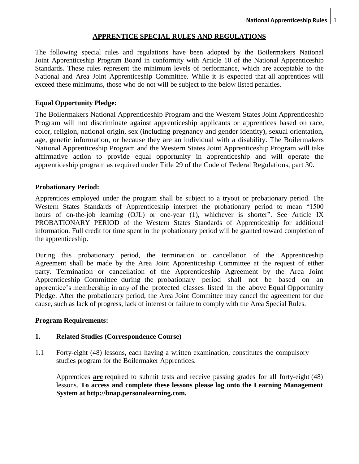## **APPRENTICE SPECIAL RULES AND REGULATIONS**

The following special rules and regulations have been adopted by the Boilermakers National Joint Apprenticeship Program Board in conformity with Article 10 of the National Apprenticeship Standards. These rules represent the minimum levels of performance, which are acceptable to the National and Area Joint Apprenticeship Committee. While it is expected that all apprentices will exceed these minimums, those who do not will be subject to the below listed penalties.

## **Equal Opportunity Pledge:**

The Boilermakers National Apprenticeship Program and the Western States Joint Apprenticeship Program will not discriminate against apprenticeship applicants or apprentices based on race, color, religion, national origin, sex (including pregnancy and gender identity), sexual orientation, age, genetic information, or because they are an individual with a disability. The Boilermakers National Apprenticeship Program and the Western States Joint Apprenticeship Program will take affirmative action to provide equal opportunity in apprenticeship and will operate the apprenticeship program as required under Title 29 of the Code of Federal Regulations, part 30.

## **Probationary Period:**

Apprentices employed under the program shall be subject to a tryout or probationary period. The Western States Standards of Apprenticeship interpret the probationary period to mean "1500 hours of on-the-job learning (OJL) or one-year (1), whichever is shorter". See Article IX PROBATIONARY PERIOD of the Western States Standards of Apprenticeship for additional information. Full credit for time spent in the probationary period will be granted toward completion of the apprenticeship.

During this probationary period, the termination or cancellation of the Apprenticeship Agreement shall be made by the Area Joint Apprenticeship Committee at the request of either party. Termination or cancellation of the Apprenticeship Agreement by the Area Joint Apprenticeship Committee during the probationary period shall not be based on an apprentice's membership in any of the protected classes listed in the above Equal Opportunity Pledge. After the probationary period, the Area Joint Committee may cancel the agreement for due cause, such as lack of progress, lack of interest or failure to comply with the Area Special Rules.

## **Program Requirements:**

## **1. Related Studies (Correspondence Course)**

1.1 Forty-eight (48) lessons, each having a written examination, constitutes the compulsory studies program for the Boilermaker Apprentices.

Apprentices **are** required to submit tests and receive passing grades for all forty-eight (48) lessons. **To access and complete these lessons please log onto the Learning Management System at http://bnap.personalearning.com.**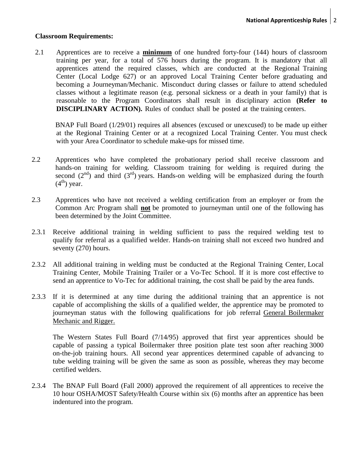#### **Classroom Requirements:**

2.1 Apprentices are to receive a **minimum** of one hundred forty-four (144) hours of classroom training per year, for a total of 576 hours during the program. It is mandatory that all apprentices attend the required classes, which are conducted at the Regional Training Center (Local Lodge 627) or an approved Local Training Center before graduating and becoming a Journeyman/Mechanic. Misconduct during classes or failure to attend scheduled classes without a legitimate reason (e.g. personal sickness or a death in your family) that is reasonable to the Program Coordinators shall result in disciplinary action **(Refer to DISCIPLINARY ACTION).** Rules of conduct shall be posted at the training centers.

BNAP Full Board (1/29/01) requires all absences (excused or unexcused) to be made up either at the Regional Training Center or at a recognized Local Training Center. You must check with your Area Coordinator to schedule make-ups for missed time.

- 2.2 Apprentices who have completed the probationary period shall receive classroom and hands-on training for welding. Classroom training for welding is required during the second  $(2<sup>nd</sup>)$  and third  $(3<sup>rd</sup>)$  years. Hands-on welding will be emphasized during the fourth  $(4<sup>th</sup>)$  year.
- 2.3 Apprentices who have not received a welding certification from an employer or from the Common Arc Program shall **not** be promoted to journeyman until one of the following has been determined by the Joint Committee.
- 2.3.1 Receive additional training in welding sufficient to pass the required welding test to qualify for referral as a qualified welder. Hands-on training shall not exceed two hundred and seventy (270) hours.
- 2.3.2 All additional training in welding must be conducted at the Regional Training Center, Local Training Center, Mobile Training Trailer or a Vo-Tec School. If it is more cost effective to send an apprentice to Vo-Tec for additional training, the cost shall be paid by the area funds.
- 2.3.3 If it is determined at any time during the additional training that an apprentice is not capable of accomplishing the skills of a qualified welder, the apprentice may be promoted to journeyman status with the following qualifications for job referral General Boilermaker Mechanic and Rigger.

The Western States Full Board (7/14/95) approved that first year apprentices should be capable of passing a typical Boilermaker three position plate test soon after reaching 3000 on-the-job training hours. All second year apprentices determined capable of advancing to tube welding training will be given the same as soon as possible, whereas they may become certified welders.

2.3.4 The BNAP Full Board (Fall 2000) approved the requirement of all apprentices to receive the 10 hour OSHA/MOST Safety/Health Course within six (6) months after an apprentice has been indentured into the program.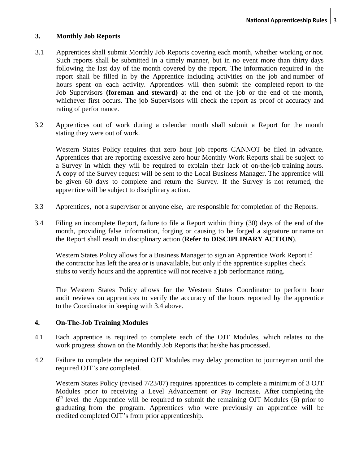## **3. Monthly Job Reports**

- 3.1 Apprentices shall submit Monthly Job Reports covering each month, whether working or not. Such reports shall be submitted in a timely manner, but in no event more than thirty days following the last day of the month covered by the report. The information required in the report shall be filled in by the Apprentice including activities on the job and number of hours spent on each activity. Apprentices will then submit the completed report to the Job Supervisors **(foreman and steward)** at the end of the job or the end of the month, whichever first occurs. The job Supervisors will check the report as proof of accuracy and rating of performance.
- 3.2 Apprentices out of work during a calendar month shall submit a Report for the month stating they were out of work.

Western States Policy requires that zero hour job reports CANNOT be filed in advance. Apprentices that are reporting excessive zero hour Monthly Work Reports shall be subject to a Survey in which they will be required to explain their lack of on-the-job training hours. A copy of the Survey request will be sent to the Local Business Manager. The apprentice will be given 60 days to complete and return the Survey. If the Survey is not returned, the apprentice will be subject to disciplinary action.

- 3.3 Apprentices, not a supervisor or anyone else, are responsible for completion of the Reports.
- 3.4 Filing an incomplete Report, failure to file a Report within thirty (30) days of the end of the month, providing false information, forging or causing to be forged a signature or name on the Report shall result in disciplinary action (**Refer to DISCIPLINARY ACTION**).

Western States Policy allows for a Business Manager to sign an Apprentice Work Report if the contractor has left the area or is unavailable, but only if the apprentice supplies check stubs to verify hours and the apprentice will not receive a job performance rating.

The Western States Policy allows for the Western States Coordinator to perform hour audit reviews on apprentices to verify the accuracy of the hours reported by the apprentice to the Coordinator in keeping with 3.4 above.

## **4. On-The-Job Training Modules**

- 4.1 Each apprentice is required to complete each of the OJT Modules, which relates to the work progress shown on the Monthly Job Reports that he/she has processed.
- 4.2 Failure to complete the required OJT Modules may delay promotion to journeyman until the required OJT's are completed.

Western States Policy (revised 7/23/07) requires apprentices to complete a minimum of 3 OJT Modules prior to receiving a Level Advancement or Pay Increase. After completing the 6<sup>th</sup> level the Apprentice will be required to submit the remaining OJT Modules (6) prior to graduating from the program. Apprentices who were previously an apprentice will be credited completed OJT's from prior apprenticeship.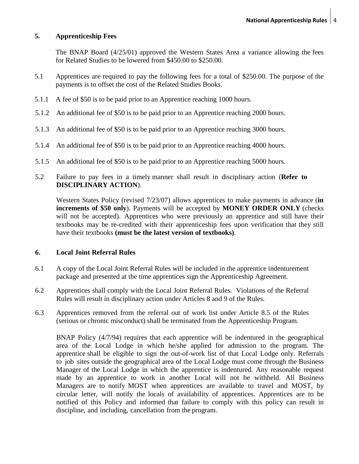## **5. Apprenticeship Fees**

The BNAP Board (4/25/01) approved the Western States Area a variance allowing the fees for Related Studies to be lowered from \$450.00 to \$250.00.

- 5.1 Apprentices are required to pay the following fees for a total of \$250.00. The purpose of the payments is to offset the cost of the Related Studies Books.
- 5.1.1 A fee of \$50 is to be paid prior to an Apprentice reaching 1000 hours.
- 5.1.2 An additional fee of \$50 is to be paid prior to an Apprentice reaching 2000 hours.
- 5.1.3 An additional fee of \$50 is to be paid prior to an Apprentice reaching 3000 hours.
- 5.1.4 An additional fee of \$50 is to be paid prior to an Apprentice reaching 4000 hours.
- 5.1.5 An additional fee of \$50 is to be paid prior to an Apprentice reaching 5000 hours.
- 5.2 Failure to pay fees in a timely manner shall result in disciplinary action (**Refer to DISCIPLINARY ACTION**).

Western States Policy (revised 7/23/07) allows apprentices to make payments in advance (**in increments of \$50 only**). Payments will be accepted by **MONEY ORDER ONLY** (checks will not be accepted). Apprentices who were previously an apprentice and still have their textbooks may be re-credited with their apprenticeship fees upon verification that they still have their textbooks **(must be the latest version of textbooks)**.

#### **6. Local Joint Referral Rules**

- 6.1 A copy of the Local Joint Referral Rules will be included in the apprentice indenturement package and presented at the time apprentices sign the Apprenticeship Agreement.
- 6.2 Apprentices shall comply with the Local Joint Referral Rules. Violations of the Referral Rules will result in disciplinary action under Articles 8 and 9 of the Rules.
- 6.3 Apprentices removed from the referral out of work list under Article 8.5 of the Rules (serious or chronic misconduct) shall be terminated from the Apprenticeship Program.

BNAP Policy (4/7/94) requires that each apprentice will be indentured in the geographical area of the Local Lodge in which he/she applied for admission to the program. The apprentice shall be eligible to sign the out-of-work list of that Local Lodge only. Referrals to job sites outside the geographical area of the Local Lodge must come through the Business Manager of the Local Lodge in which the apprentice is indentured. Any reasonable request made by an apprentice to work in another Local will not be withheld. All Business Managers are to notify MOST when apprentices are available to travel and MOST, by circular letter, will notify the locals of availability of apprentices. Apprentices are to be notified of this Policy and informed that failure to comply with this policy can result in discipline, and including, cancellation from the program.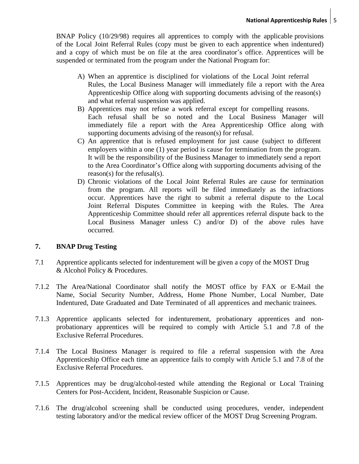BNAP Policy (10/29/98) requires all apprentices to comply with the applicable provisions of the Local Joint Referral Rules (copy must be given to each apprentice when indentured) and a copy of which must be on file at the area coordinator's office. Apprentices will be suspended or terminated from the program under the National Program for:

- A) When an apprentice is disciplined for violations of the Local Joint referral Rules, the Local Business Manager will immediately file a report with the Area Apprenticeship Office along with supporting documents advising of the reason(s) and what referral suspension was applied.
- B) Apprentices may not refuse a work referral except for compelling reasons. Each refusal shall be so noted and the Local Business Manager will immediately file a report with the Area Apprenticeship Office along with supporting documents advising of the reason(s) for refusal.
- C) An apprentice that is refused employment for just cause (subject to different employers within a one (1) year period is cause for termination from the program. It will be the responsibility of the Business Manager to immediately send a report to the Area Coordinator's Office along with supporting documents advising of the reason(s) for the refusal(s).
- D) Chronic violations of the Local Joint Referral Rules are cause for termination from the program. All reports will be filed immediately as the infractions occur. Apprentices have the right to submit a referral dispute to the Local Joint Referral Disputes Committee in keeping with the Rules. The Area Apprenticeship Committee should refer all apprentices referral dispute back to the Local Business Manager unless C) and/or D) of the above rules have occurred.

# **7. BNAP Drug Testing**

- 7.1 Apprentice applicants selected for indenturement will be given a copy of the MOST Drug & Alcohol Policy & Procedures.
- 7.1.2 The Area/National Coordinator shall notify the MOST office by FAX or E-Mail the Name, Social Security Number, Address, Home Phone Number, Local Number, Date Indentured, Date Graduated and Date Terminated of all apprentices and mechanic trainees.
- 7.1.3 Apprentice applicants selected for indenturement, probationary apprentices and nonprobationary apprentices will be required to comply with Article 5.1 and 7.8 of the Exclusive Referral Procedures.
- 7.1.4 The Local Business Manager is required to file a referral suspension with the Area Apprenticeship Office each time an apprentice fails to comply with Article 5.1 and 7.8 of the Exclusive Referral Procedures.
- 7.1.5 Apprentices may be drug/alcohol-tested while attending the Regional or Local Training Centers for Post-Accident, Incident, Reasonable Suspicion or Cause.
- 7.1.6 The drug/alcohol screening shall be conducted using procedures, vender, independent testing laboratory and/or the medical review officer of the MOST Drug Screening Program.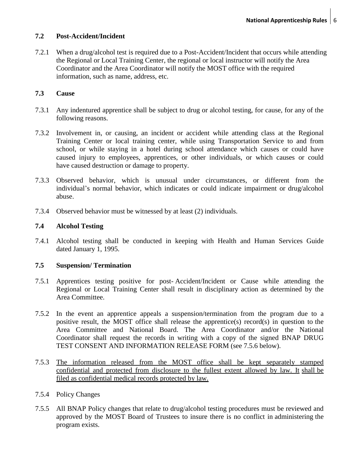## **7.2 Post-Accident/Incident**

7.2.1 When a drug/alcohol test is required due to a Post-Accident/Incident that occurs while attending the Regional or Local Training Center, the regional or local instructor will notify the Area Coordinator and the Area Coordinator will notify the MOST office with the required information, such as name, address, etc.

## **7.3 Cause**

- 7.3.1 Any indentured apprentice shall be subject to drug or alcohol testing, for cause, for any of the following reasons.
- 7.3.2 Involvement in, or causing, an incident or accident while attending class at the Regional Training Center or local training center, while using Transportation Service to and from school, or while staying in a hotel during school attendance which causes or could have caused injury to employees, apprentices, or other individuals, or which causes or could have caused destruction or damage to property.
- 7.3.3 Observed behavior, which is unusual under circumstances, or different from the individual's normal behavior, which indicates or could indicate impairment or drug/alcohol abuse.
- 7.3.4 Observed behavior must be witnessed by at least (2) individuals.

# **7.4 Alcohol Testing**

7.4.1 Alcohol testing shall be conducted in keeping with Health and Human Services Guide dated January 1, 1995.

## **7.5 Suspension/ Termination**

- 7.5.1 Apprentices testing positive for post- Accident/Incident or Cause while attending the Regional or Local Training Center shall result in disciplinary action as determined by the Area Committee.
- 7.5.2 In the event an apprentice appeals a suspension/termination from the program due to a positive result, the MOST office shall release the apprentice(s) record(s) in question to the Area Committee and National Board. The Area Coordinator and/or the National Coordinator shall request the records in writing with a copy of the signed BNAP DRUG TEST CONSENT AND INFORMATION RELEASE FORM (see 7.5.6 below).
- 7.5.3 The information released from the MOST office shall be kept separately stamped confidential and protected from disclosure to the fullest extent allowed by law. It shall be filed as confidential medical records protected by law.

## 7.5.4 Policy Changes

7.5.5 All BNAP Policy changes that relate to drug/alcohol testing procedures must be reviewed and approved by the MOST Board of Trustees to insure there is no conflict in administering the program exists.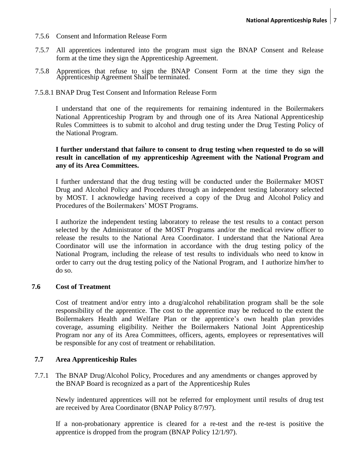- 7.5.6 Consent and Information Release Form
- 7.5.7 All apprentices indentured into the program must sign the BNAP Consent and Release form at the time they sign the Apprenticeship Agreement.
- 7.5.8 Apprentices that refuse to sign the BNAP Consent Form at the time they sign the Apprenticeship Agreement Shall be terminated.
- 7.5.8.1 BNAP Drug Test Consent and Information Release Form

I understand that one of the requirements for remaining indentured in the Boilermakers National Apprenticeship Program by and through one of its Area National Apprenticeship Rules Committees is to submit to alcohol and drug testing under the Drug Testing Policy of the National Program.

## **I further understand that failure to consent to drug testing when requested to do so will result in cancellation of my apprenticeship Agreement with the National Program and any of its Area Committees.**

I further understand that the drug testing will be conducted under the Boilermaker MOST Drug and Alcohol Policy and Procedures through an independent testing laboratory selected by MOST. I acknowledge having received a copy of the Drug and Alcohol Policy and Procedures of the Boilermakers' MOST Programs.

I authorize the independent testing laboratory to release the test results to a contact person selected by the Administrator of the MOST Programs and/or the medical review officer to release the results to the National Area Coordinator. I understand that the National Area Coordinator will use the information in accordance with the drug testing policy of the National Program, including the release of test results to individuals who need to know in order to carry out the drug testing policy of the National Program, and I authorize him/her to do so.

#### **7.6 Cost of Treatment**

Cost of treatment and/or entry into a drug/alcohol rehabilitation program shall be the sole responsibility of the apprentice. The cost to the apprentice may be reduced to the extent the Boilermakers Health and Welfare Plan or the apprentice's own health plan provides coverage, assuming eligibility. Neither the Boilermakers National Joint Apprenticeship Program nor any of its Area Committees, officers, agents, employees or representatives will be responsible for any cost of treatment or rehabilitation.

#### **7.7 Area Apprenticeship Rules**

7.7.1 The BNAP Drug/Alcohol Policy, Procedures and any amendments or changes approved by the BNAP Board is recognized as a part of the Apprenticeship Rules

Newly indentured apprentices will not be referred for employment until results of drug test are received by Area Coordinator (BNAP Policy 8/7/97).

If a non-probationary apprentice is cleared for a re-test and the re-test is positive the apprentice is dropped from the program (BNAP Policy 12/1/97).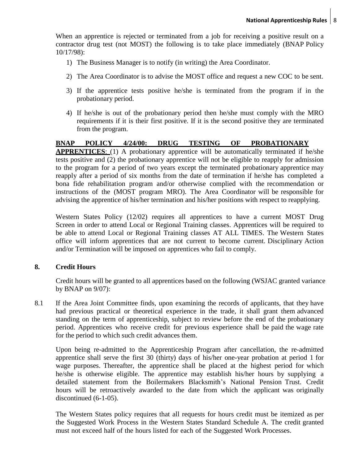When an apprentice is rejected or terminated from a job for receiving a positive result on a contractor drug test (not MOST) the following is to take place immediately (BNAP Policy 10/17/98):

- 1) The Business Manager is to notify (in writing) the Area Coordinator.
- 2) The Area Coordinator is to advise the MOST office and request a new COC to be sent.
- 3) If the apprentice tests positive he/she is terminated from the program if in the probationary period.
- 4) If he/she is out of the probationary period then he/she must comply with the MRO requirements if it is their first positive. If it is the second positive they are terminated from the program.

## **BNAP POLICY 4/24/00: DRUG TESTING OF PROBATIONARY**

**APPRENTICES**: (1) A probationary apprentice will be automatically terminated if he/she tests positive and (2) the probationary apprentice will not be eligible to reapply for admission to the program for a period of two years except the terminated probationary apprentice may reapply after a period of six months from the date of termination if he/she has completed a bona fide rehabilitation program and/or otherwise complied with the recommendation or instructions of the (MOST program MRO). The Area Coordinator will be responsible for advising the apprentice of his/her termination and his/her positions with respect to reapplying.

Western States Policy (12/02) requires all apprentices to have a current MOST Drug Screen in order to attend Local or Regional Training classes. Apprentices will be required to be able to attend Local or Regional Training classes AT ALL TIMES. The Western States office will inform apprentices that are not current to become current. Disciplinary Action and/or Termination will be imposed on apprentices who fail to comply.

## **8. Credit Hours**

Credit hours will be granted to all apprentices based on the following (WSJAC granted variance by BNAP on 9/07):

8.1 If the Area Joint Committee finds, upon examining the records of applicants, that they have had previous practical or theoretical experience in the trade, it shall grant them advanced standing on the term of apprenticeship, subject to review before the end of the probationary period. Apprentices who receive credit for previous experience shall be paid the wage rate for the period to which such credit advances them.

Upon being re-admitted to the Apprenticeship Program after cancellation, the re-admitted apprentice shall serve the first 30 (thirty) days of his/her one-year probation at period 1 for wage purposes. Thereafter, the apprentice shall be placed at the highest period for which he/she is otherwise eligible. The apprentice may establish his/her hours by supplying a detailed statement from the Boilermakers Blacksmith's National Pension Trust. Credit hours will be retroactively awarded to the date from which the applicant was originally discontinued (6-1-05).

The Western States policy requires that all requests for hours credit must be itemized as per the Suggested Work Process in the Western States Standard Schedule A. The credit granted must not exceed half of the hours listed for each of the Suggested Work Processes.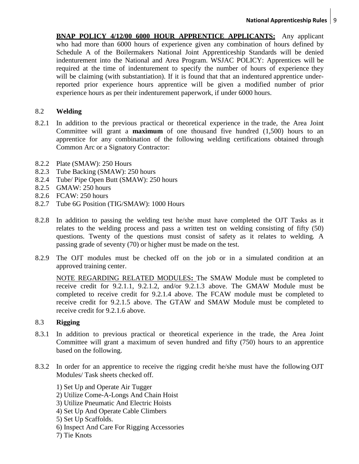**BNAP POLICY 4/12/00 6000 HOUR APPRENTICE APPLICANTS:** Any applicant who had more than 6000 hours of experience given any combination of hours defined by Schedule A of the Boilermakers National Joint Apprenticeship Standards will be denied indenturement into the National and Area Program. WSJAC POLICY: Apprentices will be required at the time of indenturement to specify the number of hours of experience they will be claiming (with substantiation). If it is found that that an indentured apprentice underreported prior experience hours apprentice will be given a modified number of prior experience hours as per their indenturement paperwork, if under 6000 hours.

## 8.2 **Welding**

- 8.2.1 In addition to the previous practical or theoretical experience in the trade, the Area Joint Committee will grant a **maximum** of one thousand five hundred (1,500) hours to an apprentice for any combination of the following welding certifications obtained through Common Arc or a Signatory Contractor:
- 8.2.2 Plate (SMAW): 250 Hours
- 8.2.3 Tube Backing (SMAW): 250 hours
- 8.2.4 Tube/ Pipe Open Butt (SMAW): 250 hours
- 8.2.5 GMAW: 250 hours
- 8.2.6 FCAW: 250 hours
- 8.2.7 Tube 6G Position (TIG/SMAW): 1000 Hours
- 8.2.8 In addition to passing the welding test he/she must have completed the OJT Tasks as it relates to the welding process and pass a written test on welding consisting of fifty (50) questions. Twenty of the questions must consist of safety as it relates to welding. A passing grade of seventy (70) or higher must be made on the test.
- 8.2.9 The OJT modules must be checked off on the job or in a simulated condition at an approved training center.

NOTE REGARDING RELATED MODULES**:** The SMAW Module must be completed to receive credit for 9.2.1.1, 9.2.1.2, and/or 9.2.1.3 above. The GMAW Module must be completed to receive credit for 9.2.1.4 above. The FCAW module must be completed to receive credit for 9.2.1.5 above. The GTAW and SMAW Module must be completed to receive credit for 9.2.1.6 above.

## 8.3 **Rigging**

- 8.3.1 In addition to previous practical or theoretical experience in the trade, the Area Joint Committee will grant a maximum of seven hundred and fifty (750) hours to an apprentice based on the following.
- 8.3.2 In order for an apprentice to receive the rigging credit he/she must have the following OJT Modules/ Task sheets checked off.
	- 1) Set Up and Operate Air Tugger
	- 2) Utilize Come-A-Longs And Chain Hoist
	- 3) Utilize Pneumatic And Electric Hoists
	- 4) Set Up And Operate Cable Climbers
	- 5) Set Up Scaffolds.
	- 6) Inspect And Care For Rigging Accessories
	- 7) Tie Knots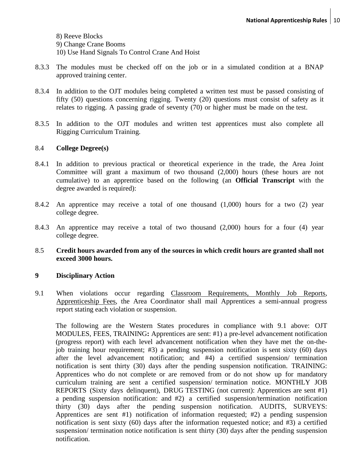8) Reeve Blocks

9) Change Crane Booms

10) Use Hand Signals To Control Crane And Hoist

- 8.3.3 The modules must be checked off on the job or in a simulated condition at a BNAP approved training center.
- 8.3.4 In addition to the OJT modules being completed a written test must be passed consisting of fifty (50) questions concerning rigging. Twenty (20) questions must consist of safety as it relates to rigging. A passing grade of seventy (70) or higher must be made on the test.
- 8.3.5 In addition to the OJT modules and written test apprentices must also complete all Rigging Curriculum Training.

## 8.4 **College Degree(s)**

- 8.4.1 In addition to previous practical or theoretical experience in the trade, the Area Joint Committee will grant a maximum of two thousand (2,000) hours (these hours are not cumulative) to an apprentice based on the following (an **Official Transcript** with the degree awarded is required):
- 8.4.2 An apprentice may receive a total of one thousand (1,000) hours for a two (2) year college degree.
- 8.4.3 An apprentice may receive a total of two thousand (2,000) hours for a four (4) year college degree.
- 8.5 **Credit hours awarded from any of the sources in which credit hours are granted shall not exceed 3000 hours.**

## **9 Disciplinary Action**

9.1 When violations occur regarding Classroom Requirements, Monthly Job Reports, Apprenticeship Fees, the Area Coordinator shall mail Apprentices a semi-annual progress report stating each violation or suspension.

The following are the Western States procedures in compliance with 9.1 above: OJT MODULES, FEES, TRAINING**:** Apprentices are sent: #1) a pre-level advancement notification (progress report) with each level advancement notification when they have met the on-thejob training hour requirement; #3) a pending suspension notification is sent sixty (60) days after the level advancement notification; and #4) a certified suspension/ termination notification is sent thirty (30) days after the pending suspension notification. TRAINING: Apprentices who do not complete or are removed from or do not show up for mandatory curriculum training are sent a certified suspension/ termination notice. MONTHLY JOB REPORTS (Sixty days delinquent), DRUG TESTING (not current): Apprentices are sent #1) a pending suspension notification: and #2) a certified suspension/termination notification thirty (30) days after the pending suspension notification. AUDITS, SURVEYS: Apprentices are sent #1) notification of information requested; #2) a pending suspension notification is sent sixty (60) days after the information requested notice; and #3) a certified suspension/ termination notice notification is sent thirty (30) days after the pending suspension notification.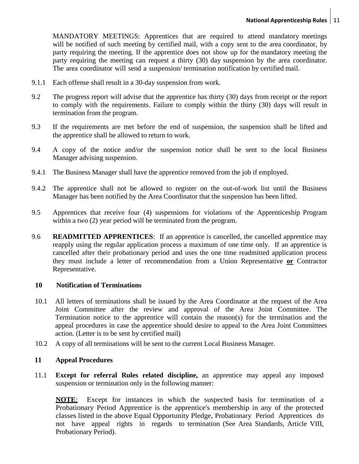MANDATORY MEETINGS: Apprentices that are required to attend mandatory meetings will be notified of such meeting by certified mail, with a copy sent to the area coordinator, by party requiring the meeting. If the apprentice does not show up for the mandatory meeting the party requiring the meeting can request a thirty (30) day suspension by the area coordinator. The area coordinator will send a suspension/ termination notification by certified mail.

- 9.1.1 Each offense shall result in a 30-day suspension from work.
- 9.2 The progress report will advise that the apprentice has thirty (30) days from receipt or the report to comply with the requirements. Failure to comply within the thirty (30) days will result in termination from the program.
- 9.3 If the requirements are met before the end of suspension, the suspension shall be lifted and the apprentice shall be allowed to return to work.
- 9.4 A copy of the notice and/or the suspension notice shall be sent to the local Business Manager advising suspension.
- 9.4.1 The Business Manager shall have the apprentice removed from the job if employed.
- 9.4.2 The apprentice shall not be allowed to register on the out-of-work list until the Business Manager has been notified by the Area Coordinator that the suspension has been lifted.
- 9.5 Apprentices that receive four (4) suspensions for violations of the Apprenticeship Program within a two  $(2)$  year period will be terminated from the program.
- 9.6 **READMITTED APPRENTICES**: If an apprentice is cancelled, the cancelled apprentice may reapply using the regular application process a maximum of one time only. If an apprentice is cancelled after their probationary period and uses the one time readmitted application process they must include a letter of recommendation from a Union Representative **or** Contractor Representative.

## **10 Notification of Terminations**

- 10.1 All letters of terminations shall be issued by the Area Coordinator at the request of the Area Joint Committee after the review and approval of the Area Joint Committee. The Termination notice to the apprentice will contain the reason(s) for the termination and the appeal procedures in case the apprentice should desire to appeal to the Area Joint Committees action. (Letter is to be sent by certified mail)
- 10.2 A copy of all terminations will be sent to the current Local Business Manager.

## **11 Appeal Procedures**

11.1 **Except for referral Rules related discipline,** an apprentice may appeal any imposed suspension or termination only in the following manner:

**NOTE**: Except for instances in which the suspected basis for termination of a Probationary Period Apprentice is the apprentice's membership in any of the protected classes listed in the above Equal Opportunity Pledge, Probationary Period Apprentices do not have appeal rights in regards to termination (See Area Standards, Article VIII, Probationary Period).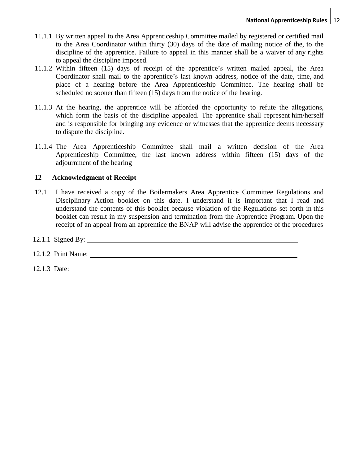- 11.1.1 By written appeal to the Area Apprenticeship Committee mailed by registered or certified mail to the Area Coordinator within thirty (30) days of the date of mailing notice of the, to the discipline of the apprentice. Failure to appeal in this manner shall be a waiver of any rights to appeal the discipline imposed.
- 11.1.2 Within fifteen (15) days of receipt of the apprentice's written mailed appeal, the Area Coordinator shall mail to the apprentice's last known address, notice of the date, time, and place of a hearing before the Area Apprenticeship Committee. The hearing shall be scheduled no sooner than fifteen (15) days from the notice of the hearing.
- 11.1.3 At the hearing, the apprentice will be afforded the opportunity to refute the allegations, which form the basis of the discipline appealed. The apprentice shall represent him/herself and is responsible for bringing any evidence or witnesses that the apprentice deems necessary to dispute the discipline.
- 11.1.4 The Area Apprenticeship Committee shall mail a written decision of the Area Apprenticeship Committee, the last known address within fifteen (15) days of the adjournment of the hearing

# **12 Acknowledgment of Receipt**

12.1 I have received a copy of the Boilermakers Area Apprentice Committee Regulations and Disciplinary Action booklet on this date. I understand it is important that I read and understand the contents of this booklet because violation of the Regulations set forth in this booklet can result in my suspension and termination from the Apprentice Program. Upon the receipt of an appeal from an apprentice the BNAP will advise the apprentice of the procedures

## 12.1.1 Signed By:

# 12.1.2 Print Name:

12.1.3 Date: